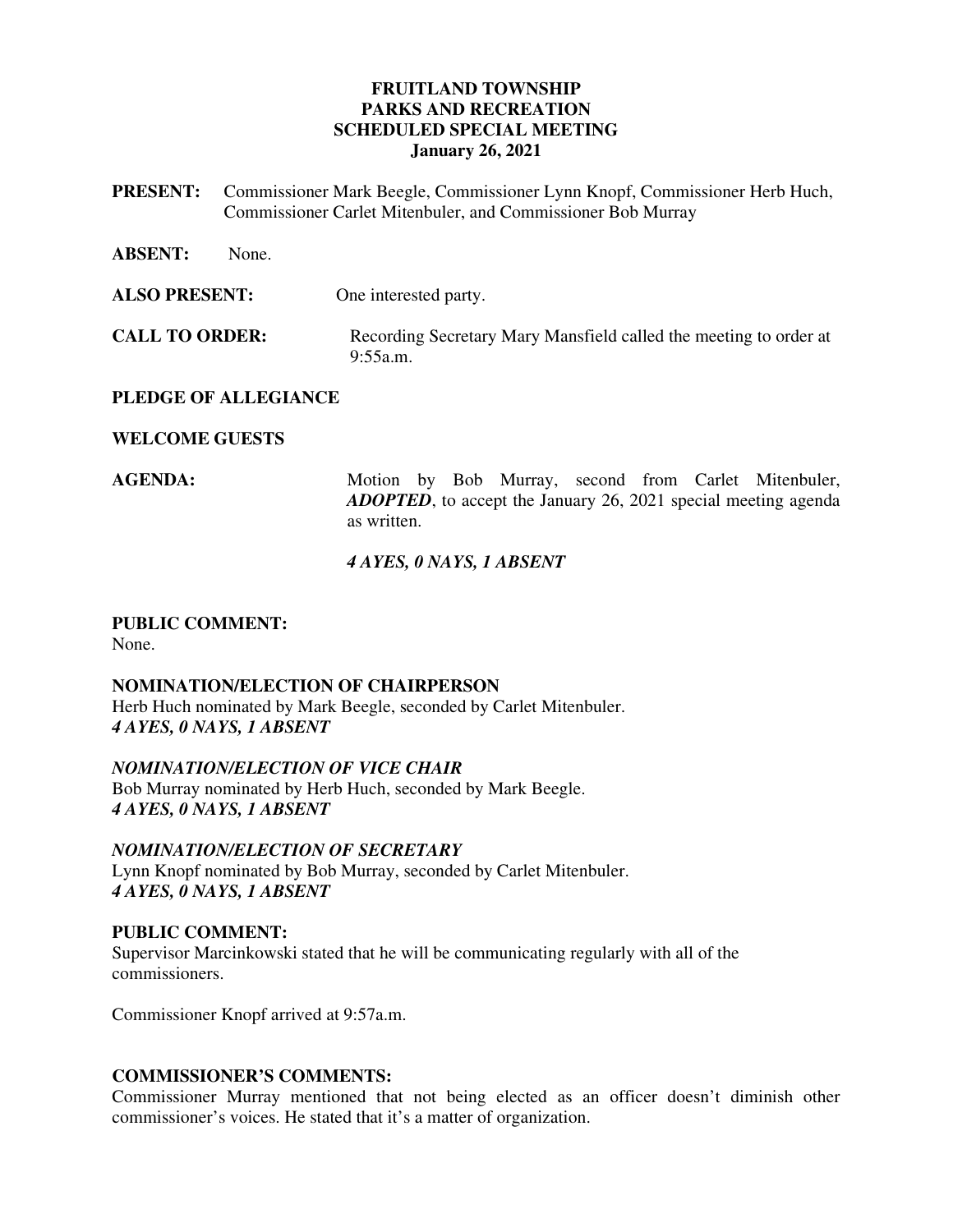# **FRUITLAND TOWNSHIP PARKS AND RECREATION SCHEDULED SPECIAL MEETING January 26, 2021**

- **PRESENT:** Commissioner Mark Beegle, Commissioner Lynn Knopf, Commissioner Herb Huch, Commissioner Carlet Mitenbuler, and Commissioner Bob Murray
- **ABSENT:** None. **ALSO PRESENT:** One interested party. **CALL TO ORDER:** Recording Secretary Mary Mansfield called the meeting to order at 9:55a.m.

### **PLEDGE OF ALLEGIANCE**

### **WELCOME GUESTS**

AGENDA: Motion by Bob Murray, second from Carlet Mitenbuler, *ADOPTED*, to accept the January 26, 2021 special meeting agenda as written.

### *4 AYES, 0 NAYS, 1 ABSENT*

#### **PUBLIC COMMENT:**  None.

# **NOMINATION/ELECTION OF CHAIRPERSON**

Herb Huch nominated by Mark Beegle, seconded by Carlet Mitenbuler. *4 AYES, 0 NAYS, 1 ABSENT* 

*NOMINATION/ELECTION OF VICE CHAIR*  Bob Murray nominated by Herb Huch, seconded by Mark Beegle. *4 AYES, 0 NAYS, 1 ABSENT* 

# *NOMINATION/ELECTION OF SECRETARY*

Lynn Knopf nominated by Bob Murray, seconded by Carlet Mitenbuler. *4 AYES, 0 NAYS, 1 ABSENT* 

# **PUBLIC COMMENT:**

Supervisor Marcinkowski stated that he will be communicating regularly with all of the commissioners.

Commissioner Knopf arrived at 9:57a.m.

# **COMMISSIONER'S COMMENTS:**

Commissioner Murray mentioned that not being elected as an officer doesn't diminish other commissioner's voices. He stated that it's a matter of organization.